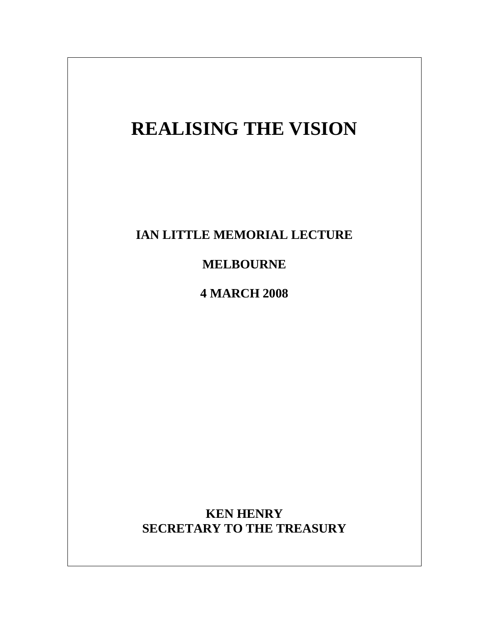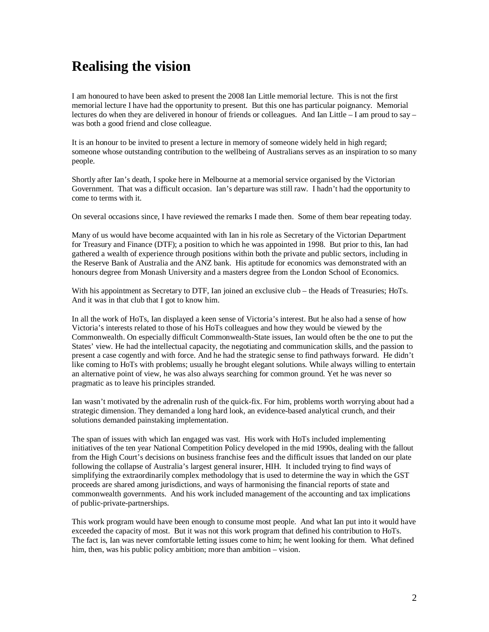## **Realising the vision**

I am honoured to have been asked to present the 2008 Ian Little memorial lecture. This is not the first memorial lecture I have had the opportunity to present. But this one has particular poignancy. Memorial lectures do when they are delivered in honour of friends or colleagues. And Ian Little – I am proud to say – was both a good friend and close colleague.

It is an honour to be invited to present a lecture in memory of someone widely held in high regard; someone whose outstanding contribution to the wellbeing of Australians serves as an inspiration to so many people.

Shortly after Ian's death, I spoke here in Melbourne at a memorial service organised by the Victorian Government. That was a difficult occasion. Ian's departure was still raw. I hadn't had the opportunity to come to terms with it.

On several occasions since, I have reviewed the remarks I made then. Some of them bear repeating today.

Many of us would have become acquainted with Ian in his role as Secretary of the Victorian Department for Treasury and Finance (DTF); a position to which he was appointed in 1998. But prior to this, Ian had gathered a wealth of experience through positions within both the private and public sectors, including in the Reserve Bank of Australia and the ANZ bank. His aptitude for economics was demonstrated with an honours degree from Monash University and a masters degree from the London School of Economics.

With his appointment as Secretary to DTF, Ian joined an exclusive club – the Heads of Treasuries; HoTs. And it was in that club that I got to know him.

In all the work of HoTs, Ian displayed a keen sense of Victoria's interest. But he also had a sense of how Victoria's interests related to those of his HoTs colleagues and how they would be viewed by the Commonwealth. On especially difficult Commonwealth-State issues, Ian would often be the one to put the States' view. He had the intellectual capacity, the negotiating and communication skills, and the passion to present a case cogently and with force. And he had the strategic sense to find pathways forward. He didn't like coming to HoTs with problems; usually he brought elegant solutions. While always willing to entertain an alternative point of view, he was also always searching for common ground. Yet he was never so pragmatic as to leave his principles stranded.

Ian wasn't motivated by the adrenalin rush of the quick-fix. For him, problems worth worrying about had a strategic dimension. They demanded a long hard look, an evidence-based analytical crunch, and their solutions demanded painstaking implementation.

The span of issues with which Ian engaged was vast. His work with HoTs included implementing initiatives of the ten year National Competition Policy developed in the mid 1990s, dealing with the fallout from the High Court's decisions on business franchise fees and the difficult issues that landed on our plate following the collapse of Australia's largest general insurer, HIH. It included trying to find ways of simplifying the extraordinarily complex methodology that is used to determine the way in which the GST proceeds are shared among jurisdictions, and ways of harmonising the financial reports of state and commonwealth governments. And his work included management of the accounting and tax implications of public-private-partnerships.

This work program would have been enough to consume most people. And what Ian put into it would have exceeded the capacity of most. But it was not this work program that defined his contribution to HoTs. The fact is, Ian was never comfortable letting issues come to him; he went looking for them. What defined him, then, was his public policy ambition; more than ambition – vision.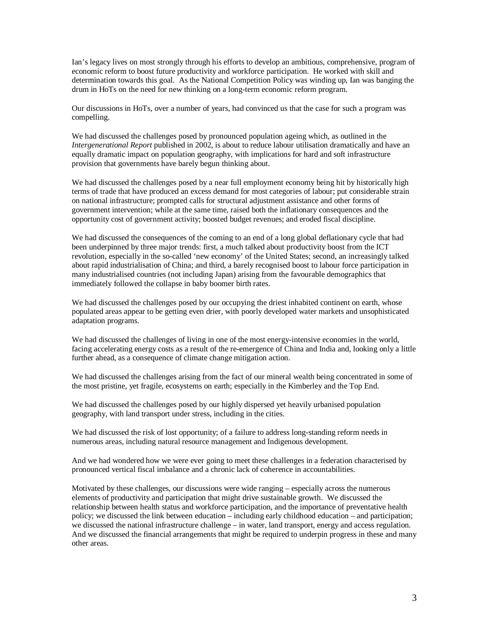Ian's legacy lives on most strongly through his efforts to develop an ambitious, comprehensive, program of economic reform to boost future productivity and workforce participation. He worked with skill and determination towards this goal. As the National Competition Policy was winding up, Ian was banging the drum in HoTs on the need for new thinking on a long-term economic reform program.

Our discussions in HoTs, over a number of years, had convinced us that the case for such a program was compelling.

We had discussed the challenges posed by pronounced population ageing which, as outlined in the *Intergenerational Report* published in 2002, is about to reduce labour utilisation dramatically and have an equally dramatic impact on population geography, with implications for hard and soft infrastructure provision that governments have barely begun thinking about.

We had discussed the challenges posed by a near full employment economy being hit by historically high terms of trade that have produced an excess demand for most categories of labour; put considerable strain on national infrastructure; prompted calls for structural adjustment assistance and other forms of government intervention; while at the same time, raised both the inflationary consequences and the opportunity cost of government activity; boosted budget revenues; and eroded fiscal discipline.

We had discussed the consequences of the coming to an end of a long global deflationary cycle that had been underpinned by three major trends: first, a much talked about productivity boost from the ICT revolution, especially in the so-called 'new economy' of the United States; second, an increasingly talked about rapid industrialisation of China; and third, a barely recognised boost to labour force participation in many industrialised countries (not including Japan) arising from the favourable demographics that immediately followed the collapse in baby boomer birth rates.

We had discussed the challenges posed by our occupying the driest inhabited continent on earth, whose populated areas appear to be getting even drier, with poorly developed water markets and unsophisticated adaptation programs.

We had discussed the challenges of living in one of the most energy-intensive economies in the world, facing accelerating energy costs as a result of the re-emergence of China and India and, looking only a little further ahead, as a consequence of climate change mitigation action.

We had discussed the challenges arising from the fact of our mineral wealth being concentrated in some of the most pristine, yet fragile, ecosystems on earth; especially in the Kimberley and the Top End.

We had discussed the challenges posed by our highly dispersed yet heavily urbanised population geography, with land transport under stress, including in the cities.

We had discussed the risk of lost opportunity; of a failure to address long-standing reform needs in numerous areas, including natural resource management and Indigenous development.

And we had wondered how we were ever going to meet these challenges in a federation characterised by pronounced vertical fiscal imbalance and a chronic lack of coherence in accountabilities.

Motivated by these challenges, our discussions were wide ranging – especially across the numerous elements of productivity and participation that might drive sustainable growth. We discussed the relationship between health status and workforce participation, and the importance of preventative health policy; we discussed the link between education – including early childhood education – and participation; we discussed the national infrastructure challenge – in water, land transport, energy and access regulation. And we discussed the financial arrangements that might be required to underpin progress in these and many other areas.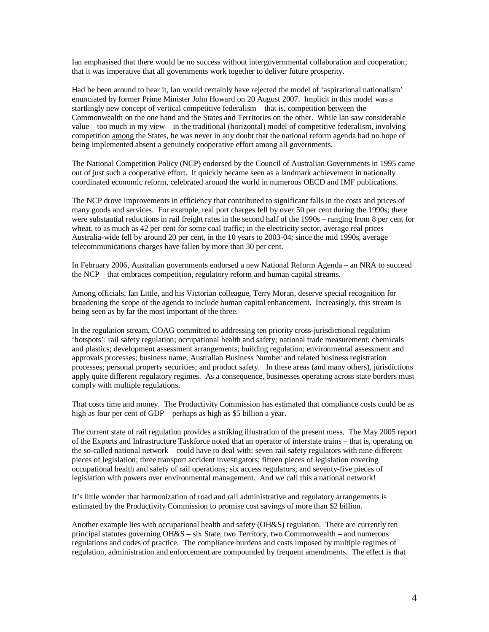Ian emphasised that there would be no success without intergovernmental collaboration and cooperation; that it was imperative that all governments work together to deliver future prosperity.

Had he been around to hear it, Ian would certainly have rejected the model of 'aspirational nationalism' enunciated by former Prime Minister John Howard on 20 August 2007. Implicit in this model was a startlingly new concept of vertical competitive federalism – that is, competition between the Commonwealth on the one hand and the States and Territories on the other. While Ian saw considerable value – too much in my view – in the traditional (horizontal) model of competitive federalism, involving competition among the States, he was never in any doubt that the national reform agenda had no hope of being implemented absent a genuinely cooperative effort among all governments.

The National Competition Policy (NCP) endorsed by the Council of Australian Governments in 1995 came out of just such a cooperative effort. It quickly became seen as a landmark achievement in nationally coordinated economic reform, celebrated around the world in numerous OECD and IMF publications.

The NCP drove improvements in efficiency that contributed to significant falls in the costs and prices of many goods and services. For example, real port charges fell by over 50 per cent during the 1990s; there were substantial reductions in rail freight rates in the second half of the 1990s – ranging from 8 per cent for wheat, to as much as 42 per cent for some coal traffic; in the electricity sector, average real prices Australia-wide fell by around 20 per cent, in the 10 years to 2003-04; since the mid 1990s, average telecommunications charges have fallen by more than 30 per cent.

In February 2006, Australian governments endorsed a new National Reform Agenda – an NRA to succeed the NCP – that embraces competition, regulatory reform and human capital streams.

Among officials, Ian Little, and his Victorian colleague, Terry Moran, deserve special recognition for broadening the scope of the agenda to include human capital enhancement. Increasingly, this stream is being seen as by far the most important of the three.

In the regulation stream, COAG committed to addressing ten priority cross-jurisdictional regulation 'hotspots': rail safety regulation; occupational health and safety; national trade measurement; chemicals and plastics; development assessment arrangements; building regulation; environmental assessment and approvals processes; business name, Australian Business Number and related business registration processes; personal property securities; and product safety. In these areas (and many others), jurisdictions apply quite different regulatory regimes. As a consequence, businesses operating across state borders must comply with multiple regulations.

That costs time and money. The Productivity Commission has estimated that compliance costs could be as high as four per cent of GDP – perhaps as high as \$5 billion a year.

The current state of rail regulation provides a striking illustration of the present mess. The May 2005 report of the Exports and Infrastructure Taskforce noted that an operator of interstate trains – that is, operating on the so-called national network – could have to deal with: seven rail safety regulators with nine different pieces of legislation; three transport accident investigators; fifteen pieces of legislation covering occupational health and safety of rail operations; six access regulators; and seventy-five pieces of legislation with powers over environmental management. And we call this a national network!

It's little wonder that harmonization of road and rail administrative and regulatory arrangements is estimated by the Productivity Commission to promise cost savings of more than \$2 billion.

Another example lies with occupational health and safety (OH&S) regulation. There are currently ten principal statutes governing OH&S – six State, two Territory, two Commonwealth – and numerous regulations and codes of practice. The compliance burdens and costs imposed by multiple regimes of regulation, administration and enforcement are compounded by frequent amendments. The effect is that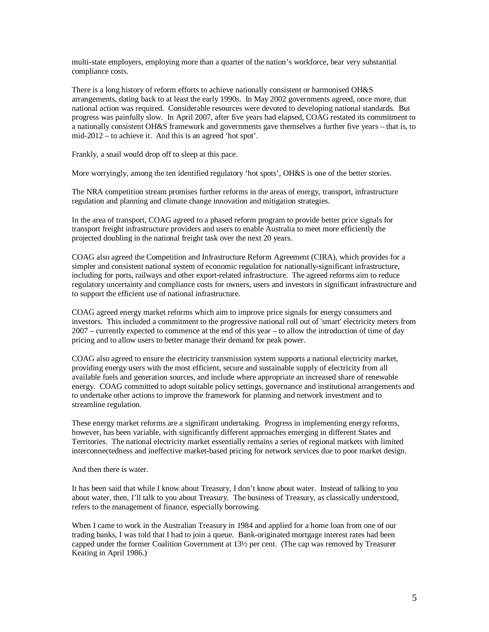multi-state employers, employing more than a quarter of the nation's workforce, bear very substantial compliance costs.

There is a long history of reform efforts to achieve nationally consistent or harmonised OH&S arrangements, dating back to at least the early 1990s. In May 2002 governments agreed, once more, that national action was required. Considerable resources were devoted to developing national standards. But progress was painfully slow. In April 2007, after five years had elapsed, COAG restated its commitment to a nationally consistent OH&S framework and governments gave themselves a further five years – that is, to mid-2012 – to achieve it. And this is an agreed 'hot spot'.

Frankly, a snail would drop off to sleep at this pace.

More worryingly, among the ten identified regulatory 'hot spots', OH&S is one of the better stories.

The NRA competition stream promises further reforms in the areas of energy, transport, infrastructure regulation and planning and climate change innovation and mitigation strategies.

In the area of transport, COAG agreed to a phased reform program to provide better price signals for transport freight infrastructure providers and users to enable Australia to meet more efficiently the projected doubling in the national freight task over the next 20 years.

COAG also agreed the Competition and Infrastructure Reform Agreement (CIRA), which provides for a simpler and consistent national system of economic regulation for nationally-significant infrastructure, including for ports, railways and other export-related infrastructure. The agreed reforms aim to reduce regulatory uncertainty and compliance costs for owners, users and investors in significant infrastructure and to support the efficient use of national infrastructure.

COAG agreed energy market reforms which aim to improve price signals for energy consumers and investors. This included a commitment to the progressive national roll out of 'smart' electricity meters from 2007 – currently expected to commence at the end of this year – to allow the introduction of time of day pricing and to allow users to better manage their demand for peak power.

COAG also agreed to ensure the electricity transmission system supports a national electricity market, providing energy users with the most efficient, secure and sustainable supply of electricity from all available fuels and generation sources, and include where appropriate an increased share of renewable energy. COAG committed to adopt suitable policy settings, governance and institutional arrangements and to undertake other actions to improve the framework for planning and network investment and to streamline regulation.

These energy market reforms are a significant undertaking. Progress in implementing energy reforms, however, has been variable, with significantly different approaches emerging in different States and Territories. The national electricity market essentially remains a series of regional markets with limited interconnectedness and ineffective market-based pricing for network services due to poor market design.

And then there is water.

It has been said that while I know about Treasury, I don't know about water. Instead of talking to you about water, then, I'll talk to you about Treasury. The business of Treasury, as classically understood, refers to the management of finance, especially borrowing.

When I came to work in the Australian Treasury in 1984 and applied for a home loan from one of our trading banks, I was told that I had to join a queue. Bank-originated mortgage interest rates had been capped under the former Coalition Government at 13½ per cent. (The cap was removed by Treasurer Keating in April 1986.)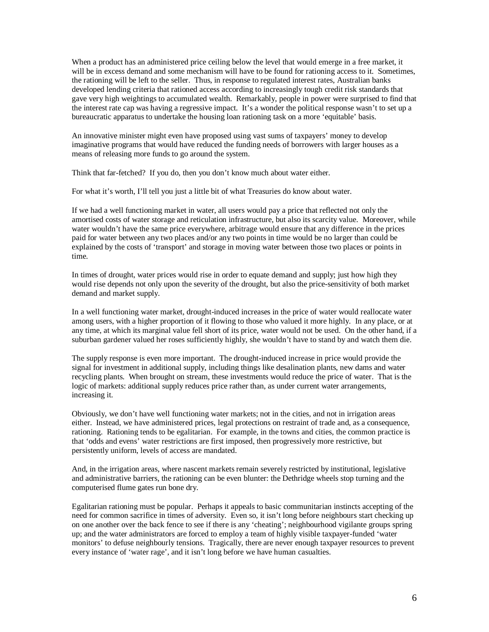When a product has an administered price ceiling below the level that would emerge in a free market, it will be in excess demand and some mechanism will have to be found for rationing access to it. Sometimes, the rationing will be left to the seller. Thus, in response to regulated interest rates, Australian banks developed lending criteria that rationed access according to increasingly tough credit risk standards that gave very high weightings to accumulated wealth. Remarkably, people in power were surprised to find that the interest rate cap was having a regressive impact. It's a wonder the political response wasn't to set up a bureaucratic apparatus to undertake the housing loan rationing task on a more 'equitable' basis.

An innovative minister might even have proposed using vast sums of taxpayers' money to develop imaginative programs that would have reduced the funding needs of borrowers with larger houses as a means of releasing more funds to go around the system.

Think that far-fetched? If you do, then you don't know much about water either.

For what it's worth, I'll tell you just a little bit of what Treasuries do know about water.

If we had a well functioning market in water, all users would pay a price that reflected not only the amortised costs of water storage and reticulation infrastructure, but also its scarcity value. Moreover, while water wouldn't have the same price everywhere, arbitrage would ensure that any difference in the prices paid for water between any two places and/or any two points in time would be no larger than could be explained by the costs of 'transport' and storage in moving water between those two places or points in time.

In times of drought, water prices would rise in order to equate demand and supply; just how high they would rise depends not only upon the severity of the drought, but also the price-sensitivity of both market demand and market supply.

In a well functioning water market, drought-induced increases in the price of water would reallocate water among users, with a higher proportion of it flowing to those who valued it more highly. In any place, or at any time, at which its marginal value fell short of its price, water would not be used. On the other hand, if a suburban gardener valued her roses sufficiently highly, she wouldn't have to stand by and watch them die.

The supply response is even more important. The drought-induced increase in price would provide the signal for investment in additional supply, including things like desalination plants, new dams and water recycling plants. When brought on stream, these investments would reduce the price of water. That is the logic of markets: additional supply reduces price rather than, as under current water arrangements, increasing it.

Obviously, we don't have well functioning water markets; not in the cities, and not in irrigation areas either. Instead, we have administered prices, legal protections on restraint of trade and, as a consequence, rationing. Rationing tends to be egalitarian. For example, in the towns and cities, the common practice is that 'odds and evens' water restrictions are first imposed, then progressively more restrictive, but persistently uniform, levels of access are mandated.

And, in the irrigation areas, where nascent markets remain severely restricted by institutional, legislative and administrative barriers, the rationing can be even blunter: the Dethridge wheels stop turning and the computerised flume gates run bone dry.

Egalitarian rationing must be popular. Perhaps it appeals to basic communitarian instincts accepting of the need for common sacrifice in times of adversity. Even so, it isn't long before neighbours start checking up on one another over the back fence to see if there is any 'cheating'; neighbourhood vigilante groups spring up; and the water administrators are forced to employ a team of highly visible taxpayer-funded 'water monitors' to defuse neighbourly tensions. Tragically, there are never enough taxpayer resources to prevent every instance of 'water rage', and it isn't long before we have human casualties.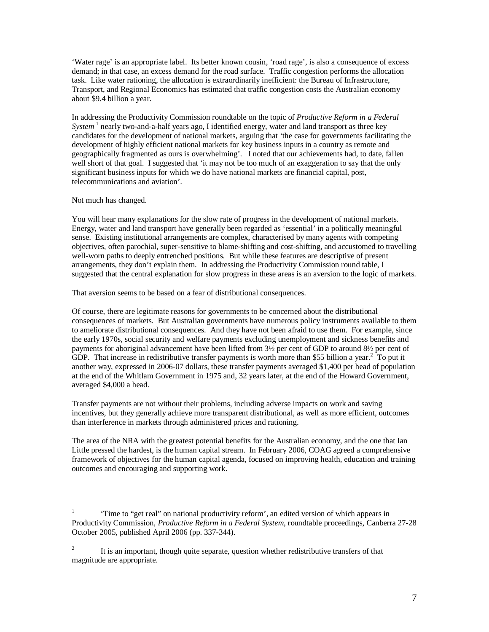'Water rage' is an appropriate label. Its better known cousin, 'road rage', is also a consequence of excess demand; in that case, an excess demand for the road surface. Traffic congestion performs the allocation task. Like water rationing, the allocation is extraordinarily inefficient: the Bureau of Infrastructure, Transport, and Regional Economics has estimated that traffic congestion costs the Australian economy about \$9.4 billion a year.

In addressing the Productivity Commission roundtable on the topic of *Productive Reform in a Federal*  System<sup>1</sup> nearly two-and-a-half years ago, I identified energy, water and land transport as three key candidates for the development of national markets, arguing that 'the case for governments facilitating the development of highly efficient national markets for key business inputs in a country as remote and geographically fragmented as ours is overwhelming'. I noted that our achievements had, to date, fallen well short of that goal. I suggested that 'it may not be too much of an exaggeration to say that the only significant business inputs for which we do have national markets are financial capital, post, telecommunications and aviation'.

## Not much has changed.

You will hear many explanations for the slow rate of progress in the development of national markets. Energy, water and land transport have generally been regarded as 'essential' in a politically meaningful sense. Existing institutional arrangements are complex, characterised by many agents with competing objectives, often parochial, super-sensitive to blame-shifting and cost-shifting, and accustomed to travelling well-worn paths to deeply entrenched positions. But while these features are descriptive of present arrangements, they don't explain them. In addressing the Productivity Commission round table, I suggested that the central explanation for slow progress in these areas is an aversion to the logic of markets.

That aversion seems to be based on a fear of distributional consequences.

Of course, there are legitimate reasons for governments to be concerned about the distributional consequences of markets. But Australian governments have numerous policy instruments available to them to ameliorate distributional consequences. And they have not been afraid to use them. For example, since the early 1970s, social security and welfare payments excluding unemployment and sickness benefits and payments for aboriginal advancement have been lifted from 3½ per cent of GDP to around 8½ per cent of GDP. That increase in redistributive transfer payments is worth more than \$55 billion a year.<sup>2</sup> To put it another way, expressed in 2006-07 dollars, these transfer payments averaged \$1,400 per head of population at the end of the Whitlam Government in 1975 and, 32 years later, at the end of the Howard Government, averaged \$4,000 a head.

Transfer payments are not without their problems, including adverse impacts on work and saving incentives, but they generally achieve more transparent distributional, as well as more efficient, outcomes than interference in markets through administered prices and rationing.

The area of the NRA with the greatest potential benefits for the Australian economy, and the one that Ian Little pressed the hardest, is the human capital stream. In February 2006, COAG agreed a comprehensive framework of objectives for the human capital agenda, focused on improving health, education and training outcomes and encouraging and supporting work.

 $\frac{1}{1}$  'Time to "get real" on national productivity reform', an edited version of which appears in Productivity Commission, *Productive Reform in a Federal System*, roundtable proceedings, Canberra 27-28 October 2005, published April 2006 (pp. 337-344).

<sup>2</sup> It is an important, though quite separate, question whether redistributive transfers of that magnitude are appropriate.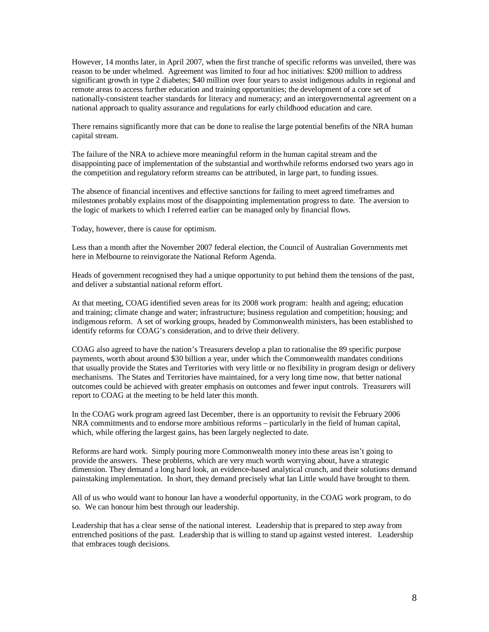However, 14 months later, in April 2007, when the first tranche of specific reforms was unveiled, there was reason to be under whelmed. Agreement was limited to four ad hoc initiatives: \$200 million to address significant growth in type 2 diabetes; \$40 million over four years to assist indigenous adults in regional and remote areas to access further education and training opportunities; the development of a core set of nationally-consistent teacher standards for literacy and numeracy; and an intergovernmental agreement on a national approach to quality assurance and regulations for early childhood education and care.

There remains significantly more that can be done to realise the large potential benefits of the NRA human capital stream.

The failure of the NRA to achieve more meaningful reform in the human capital stream and the disappointing pace of implementation of the substantial and worthwhile reforms endorsed two years ago in the competition and regulatory reform streams can be attributed, in large part, to funding issues.

The absence of financial incentives and effective sanctions for failing to meet agreed timeframes and milestones probably explains most of the disappointing implementation progress to date. The aversion to the logic of markets to which I referred earlier can be managed only by financial flows.

Today, however, there is cause for optimism.

Less than a month after the November 2007 federal election, the Council of Australian Governments met here in Melbourne to reinvigorate the National Reform Agenda.

Heads of government recognised they had a unique opportunity to put behind them the tensions of the past, and deliver a substantial national reform effort.

At that meeting, COAG identified seven areas for its 2008 work program: health and ageing; education and training; climate change and water; infrastructure; business regulation and competition; housing; and indigenous reform. A set of working groups, headed by Commonwealth ministers, has been established to identify reforms for COAG's consideration, and to drive their delivery.

COAG also agreed to have the nation's Treasurers develop a plan to rationalise the 89 specific purpose payments, worth about around \$30 billion a year, under which the Commonwealth mandates conditions that usually provide the States and Territories with very little or no flexibility in program design or delivery mechanisms. The States and Territories have maintained, for a very long time now, that better national outcomes could be achieved with greater emphasis on outcomes and fewer input controls. Treasurers will report to COAG at the meeting to be held later this month.

In the COAG work program agreed last December, there is an opportunity to revisit the February 2006 NRA commitments and to endorse more ambitious reforms – particularly in the field of human capital, which, while offering the largest gains, has been largely neglected to date.

Reforms are hard work. Simply pouring more Commonwealth money into these areas isn't going to provide the answers. These problems, which are very much worth worrying about, have a strategic dimension. They demand a long hard look, an evidence-based analytical crunch, and their solutions demand painstaking implementation. In short, they demand precisely what Ian Little would have brought to them.

All of us who would want to honour Ian have a wonderful opportunity, in the COAG work program, to do so. We can honour him best through our leadership.

Leadership that has a clear sense of the national interest. Leadership that is prepared to step away from entrenched positions of the past. Leadership that is willing to stand up against vested interest. Leadership that embraces tough decisions.